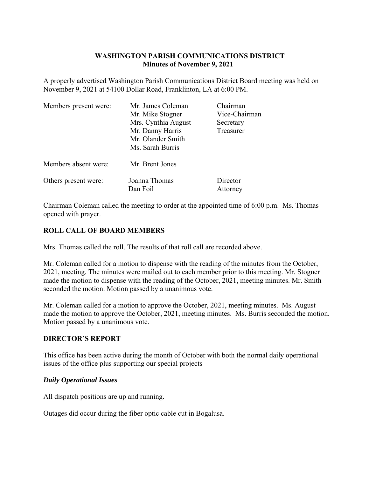# **WASHINGTON PARISH COMMUNICATIONS DISTRICT Minutes of November 9, 2021**

A properly advertised Washington Parish Communications District Board meeting was held on November 9, 2021 at 54100 Dollar Road, Franklinton, LA at 6:00 PM.

| Members present were: | Mr. James Coleman   | Chairman      |
|-----------------------|---------------------|---------------|
|                       | Mr. Mike Stogner    | Vice-Chairman |
|                       | Mrs. Cynthia August | Secretary     |
|                       | Mr. Danny Harris    | Treasurer     |
|                       | Mr. Olander Smith   |               |
|                       | Ms. Sarah Burris    |               |
| Members absent were:  | Mr. Brent Jones     |               |
| Others present were:  | Joanna Thomas       | Director      |
|                       | Dan Foil            | Attorney      |

Chairman Coleman called the meeting to order at the appointed time of 6:00 p.m. Ms. Thomas opened with prayer.

# **ROLL CALL OF BOARD MEMBERS**

Mrs. Thomas called the roll. The results of that roll call are recorded above.

Mr. Coleman called for a motion to dispense with the reading of the minutes from the October, 2021, meeting. The minutes were mailed out to each member prior to this meeting. Mr. Stogner made the motion to dispense with the reading of the October, 2021, meeting minutes. Mr. Smith seconded the motion. Motion passed by a unanimous vote.

Mr. Coleman called for a motion to approve the October, 2021, meeting minutes. Ms. August made the motion to approve the October, 2021, meeting minutes. Ms. Burris seconded the motion. Motion passed by a unanimous vote.

# **DIRECTOR'S REPORT**

This office has been active during the month of October with both the normal daily operational issues of the office plus supporting our special projects

# *Daily Operational Issues*

All dispatch positions are up and running.

Outages did occur during the fiber optic cable cut in Bogalusa.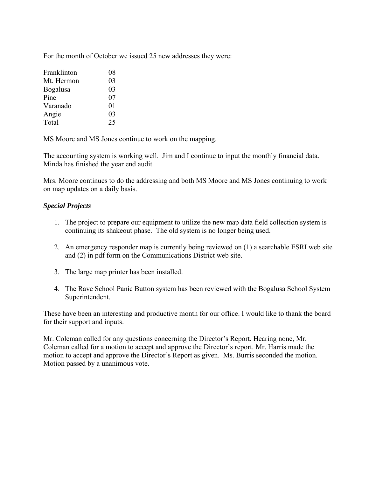For the month of October we issued 25 new addresses they were:

| Franklinton | 08 |
|-------------|----|
| Mt. Hermon  | 03 |
| Bogalusa    | 03 |
| Pine        | 07 |
| Varanado    | 01 |
| Angie       | 03 |
| Total       | 25 |

MS Moore and MS Jones continue to work on the mapping.

The accounting system is working well. Jim and I continue to input the monthly financial data. Minda has finished the year end audit.

Mrs. Moore continues to do the addressing and both MS Moore and MS Jones continuing to work on map updates on a daily basis.

#### *Special Projects*

- 1. The project to prepare our equipment to utilize the new map data field collection system is continuing its shakeout phase. The old system is no longer being used.
- 2. An emergency responder map is currently being reviewed on (1) a searchable ESRI web site and (2) in pdf form on the Communications District web site.
- 3. The large map printer has been installed.
- 4. The Rave School Panic Button system has been reviewed with the Bogalusa School System Superintendent.

These have been an interesting and productive month for our office. I would like to thank the board for their support and inputs.

Mr. Coleman called for any questions concerning the Director's Report. Hearing none, Mr. Coleman called for a motion to accept and approve the Director's report. Mr. Harris made the motion to accept and approve the Director's Report as given. Ms. Burris seconded the motion. Motion passed by a unanimous vote.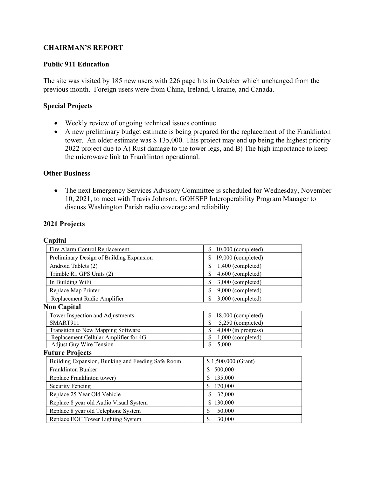# **CHAIRMAN'S REPORT**

### **Public 911 Education**

The site was visited by 185 new users with 226 page hits in October which unchanged from the previous month. Foreign users were from China, Ireland, Ukraine, and Canada.

### **Special Projects**

- Weekly review of ongoing technical issues continue.
- A new preliminary budget estimate is being prepared for the replacement of the Franklinton tower. An older estimate was \$ 135,000. This project may end up being the highest priority 2022 project due to A) Rust damage to the tower legs, and B) The high importance to keep the microwave link to Franklinton operational.

### **Other Business**

 The next Emergency Services Advisory Committee is scheduled for Wednesday, November 10, 2021, to meet with Travis Johnson, GOHSEP Interoperability Program Manager to discuss Washington Parish radio coverage and reliability.

#### **2021 Projects**

| וומ<br>Ľ |
|----------|

| Fire Alarm Control Replacement                    | \$<br>$10,000$ (completed)  |
|---------------------------------------------------|-----------------------------|
| Preliminary Design of Building Expansion          | \$<br>19,000 (completed)    |
| Android Tablets (2)                               | 1,400 (completed)<br>\$     |
| Trimble R1 GPS Units (2)                          | \$<br>4,600 (completed)     |
| In Building WiFi                                  | \$<br>3,000 (completed)     |
| Replace Map Printer                               | \$<br>9,000 (completed)     |
| Replacement Radio Amplifier                       | \$<br>3,000 (completed)     |
| <b>Non Capital</b>                                |                             |
| Tower Inspection and Adjustments                  | \$<br>18,000 (completed)    |
| SMART911                                          | \$<br>5,250 (completed)     |
| Transition to New Mapping Software                | \$<br>$4,000$ (in progress) |
| Replacement Cellular Amplifier for 4G             | \$<br>1,000 (completed)     |
| <b>Adjust Guy Wire Tension</b>                    | \$<br>5,000                 |
| <b>Future Projects</b>                            |                             |
| Building Expansion, Bunking and Feeding Safe Room | \$1,500,000 (Grant)         |
| Franklinton Bunker                                | 500,000                     |
| Replace Franklinton tower)                        | 135,000                     |
| <b>Security Fencing</b>                           | 170,000<br>S                |
| Replace 25 Year Old Vehicle                       | \$<br>32,000                |
| Replace 8 year old Audio Visual System            | 130,000<br>\$               |
| Replace 8 year old Telephone System               | \$<br>50,000                |
| Replace EOC Tower Lighting System                 | \$<br>30,000                |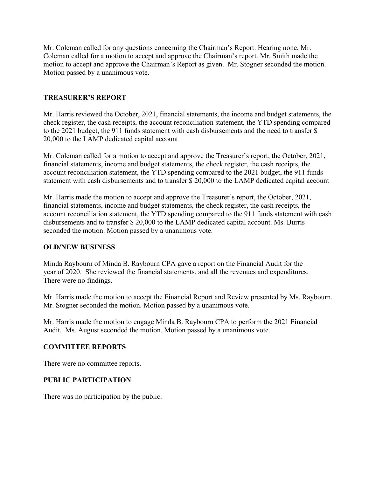Mr. Coleman called for any questions concerning the Chairman's Report. Hearing none, Mr. Coleman called for a motion to accept and approve the Chairman's report. Mr. Smith made the motion to accept and approve the Chairman's Report as given. Mr. Stogner seconded the motion. Motion passed by a unanimous vote.

# **TREASURER'S REPORT**

Mr. Harris reviewed the October, 2021, financial statements, the income and budget statements, the check register, the cash receipts, the account reconciliation statement, the YTD spending compared to the 2021 budget, the 911 funds statement with cash disbursements and the need to transfer \$ 20,000 to the LAMP dedicated capital account

Mr. Coleman called for a motion to accept and approve the Treasurer's report, the October, 2021, financial statements, income and budget statements, the check register, the cash receipts, the account reconciliation statement, the YTD spending compared to the 2021 budget, the 911 funds statement with cash disbursements and to transfer \$ 20,000 to the LAMP dedicated capital account

Mr. Harris made the motion to accept and approve the Treasurer's report, the October, 2021, financial statements, income and budget statements, the check register, the cash receipts, the account reconciliation statement, the YTD spending compared to the 911 funds statement with cash disbursements and to transfer \$ 20,000 to the LAMP dedicated capital account. Ms. Burris seconded the motion. Motion passed by a unanimous vote.

# **OLD/NEW BUSINESS**

Minda Raybourn of Minda B. Raybourn CPA gave a report on the Financial Audit for the year of 2020. She reviewed the financial statements, and all the revenues and expenditures. There were no findings.

Mr. Harris made the motion to accept the Financial Report and Review presented by Ms. Raybourn. Mr. Stogner seconded the motion. Motion passed by a unanimous vote.

Mr. Harris made the motion to engage Minda B. Raybourn CPA to perform the 2021 Financial Audit. Ms. August seconded the motion. Motion passed by a unanimous vote.

# **COMMITTEE REPORTS**

There were no committee reports.

# **PUBLIC PARTICIPATION**

There was no participation by the public.